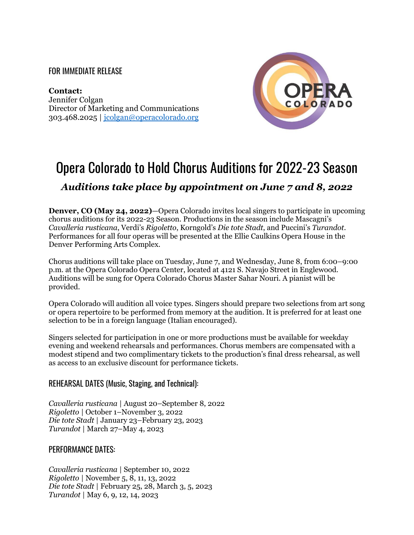## FOR IMMEDIATE RELEASE

**Contact:**  Jennifer Colgan Director of Marketing and Communications 303.468.2025 | [jcolgan@operacolorado.org](mailto:jcolgan@operacolorado.org)



# Opera Colorado to Hold Chorus Auditions for 2022-23 Season *Auditions take place by appointment on June 7 and 8, 2022*

**Denver, CO (May 24, 2022)**—Opera Colorado invites local singers to participate in upcoming chorus auditions for its 2022-23 Season. Productions in the season include Mascagni's *Cavalleria rusticana*, Verdi's *Rigoletto*, Korngold's *Die tote Stadt*, and Puccini's *Turandot*. Performances for all four operas will be presented at the Ellie Caulkins Opera House in the Denver Performing Arts Complex.

Chorus auditions will take place on Tuesday, June 7, and Wednesday, June 8, from 6:00–9:00 p.m. at the Opera Colorado Opera Center, located at 4121 S. Navajo Street in Englewood. Auditions will be sung for Opera Colorado Chorus Master Sahar Nouri. A pianist will be provided.

Opera Colorado will audition all voice types. Singers should prepare two selections from art song or opera repertoire to be performed from memory at the audition. It is preferred for at least one selection to be in a foreign language (Italian encouraged).

Singers selected for participation in one or more productions must be available for weekday evening and weekend rehearsals and performances. Chorus members are compensated with a modest stipend and two complimentary tickets to the production's final dress rehearsal, as well as access to an exclusive discount for performance tickets.

## REHEARSAL DATES (Music, Staging, and Technical):

*Cavalleria rusticana* | August 20–September 8, 2022 *Rigoletto* | October 1–November 3, 2022 *Die tote Stadt* | January 23–February 23, 2023 *Turandot* | March 27–May 4, 2023

## PERFORMANCE DATES:

*Cavalleria rusticana* | September 10, 2022 *Rigoletto* | November 5, 8, 11, 13, 2022 *Die tote Stadt* | February 25, 28, March 3, 5, 2023 *Turandot* | May 6, 9, 12, 14, 2023